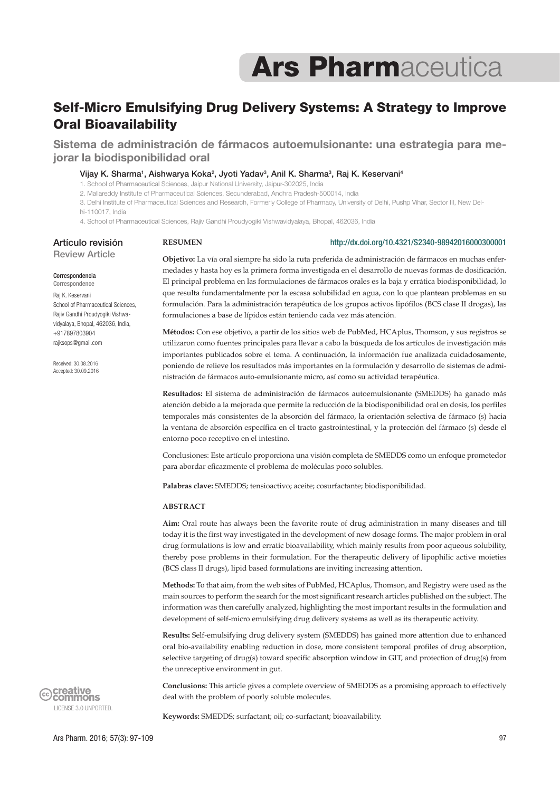# **Ars Pharmaceutica**

# Self-Micro Emulsifying Drug Delivery Systems: A Strategy to Improve Oral Bioavailability

Sistema de administración de fármacos autoemulsionante: una estrategia para mejorar la biodisponibilidad oral

#### Vijay K. Sharma', Aishwarya Koka<sup>2</sup>, Jyoti Yadav<sup>3</sup>, Anil K. Sharma<sup>3</sup>, Raj K. Keservani<sup>4</sup>

1. School of Pharmaceutical Sciences, Jaipur National University, Jaipur-302025, India

2. Mallareddy Institute of Pharmaceutical Sciences, Secunderabad, Andhra Pradesh-500014, India

3. Delhi Institute of Pharmaceutical Sciences and Research, Formerly College of Pharmacy, University of Delhi, Pushp Vihar, Sector III, New Del-

hi-110017, India

4. School of Pharmaceutical Sciences, Rajiv Gandhi Proudyogiki Vishwavidyalaya, Bhopal, 462036, India

#### **RESUMEN** Artículo revisión

http://dx.doi.org/10.4321/S2340-98942016000300001

Review Article

#### Correspondencia

**Correspondence** 

Raj K. Keservani School of Pharmaceutical Sciences, Rajiv Gandhi Proudyogiki Vishwavidyalaya, Bhopal, 462036, India, +917897803904 rajksops@gmail.com

Received: 30.08.2016 Accepted: 30.09.2016 **Objetivo:** La vía oral siempre ha sido la ruta preferida de administración de fármacos en muchas enfermedades y hasta hoy es la primera forma investigada en el desarrollo de nuevas formas de dosificación. El principal problema en las formulaciones de fármacos orales es la baja y errática biodisponibilidad, lo que resulta fundamentalmente por la escasa solubilidad en agua, con lo que plantean problemas en su formulación. Para la administración terapéutica de los grupos activos lipófilos (BCS clase II drogas), las formulaciones a base de lípidos están teniendo cada vez más atención.

# **Métodos:** Con ese objetivo, a partir de los sitios web de PubMed, HCAplus, Thomson, y sus registros se utilizaron como fuentes principales para llevar a cabo la búsqueda de los artículos de investigación más importantes publicados sobre el tema. A continuación, la información fue analizada cuidadosamente, poniendo de relieve los resultados más importantes en la formulación y desarrollo de sistemas de administración de fármacos auto-emulsionante micro, así como su actividad terapéutica.

**Resultados:** El sistema de administración de fármacos autoemulsionante (SMEDDS) ha ganado más atención debido a la mejorada que permite la reducción de la biodisponibilidad oral en dosis, los perfiles temporales más consistentes de la absorción del fármaco, la orientación selectiva de fármaco (s) hacia la ventana de absorción específica en el tracto gastrointestinal, y la protección del fármaco (s) desde el entorno poco receptivo en el intestino.

Conclusiones: Este artículo proporciona una visión completa de SMEDDS como un enfoque prometedor para abordar eficazmente el problema de moléculas poco solubles.

**Palabras clave:** SMEDDS; tensioactivo; aceite; cosurfactante; biodisponibilidad.

#### **ABSTRACT**

**Aim:** Oral route has always been the favorite route of drug administration in many diseases and till today it is the first way investigated in the development of new dosage forms. The major problem in oral drug formulations is low and erratic bioavailability, which mainly results from poor aqueous solubility, thereby pose problems in their formulation. For the therapeutic delivery of lipophilic active moieties (BCS class II drugs), lipid based formulations are inviting increasing attention.

**Methods:** To that aim, from the web sites of PubMed, HCAplus, Thomson, and Registry were used as the main sources to perform the search for the most significant research articles published on the subject. The information was then carefully analyzed, highlighting the most important results in the formulation and development of self-micro emulsifying drug delivery systems as well as its therapeutic activity.

**Results:** Self-emulsifying drug delivery system (SMEDDS) has gained more attention due to enhanced oral bio-availability enabling reduction in dose, more consistent temporal profiles of drug absorption, selective targeting of drug(s) toward specific absorption window in GIT, and protection of drug(s) from the unreceptive environment in gut.

**Conclusions:** This article gives a complete overview of SMEDDS as a promising approach to effectively deal with the problem of poorly soluble molecules.

**Keywords:** SMEDDS; surfactant; oil; co-surfactant; bioavailability.



**@**Creative<br> **Commons**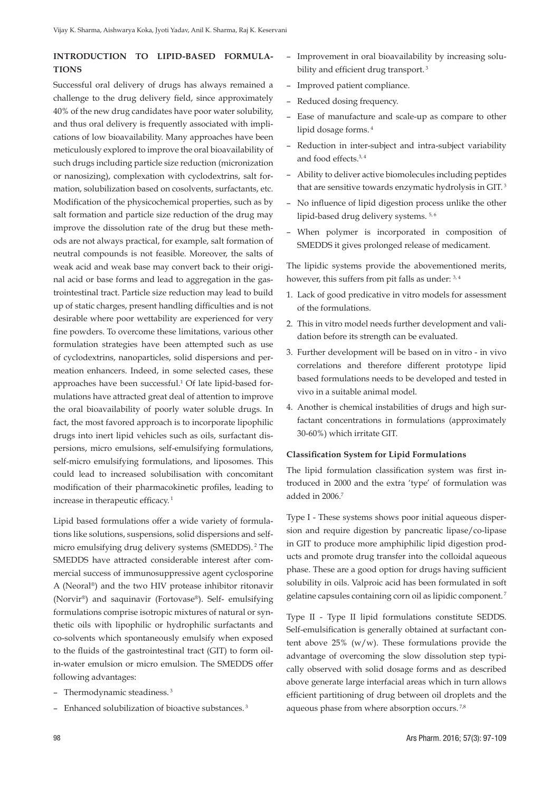# **INTRODUCTION TO LIPID-BASED FORMULA-TIONS**

Successful oral delivery of drugs has always remained a challenge to the drug delivery field, since approximately 40% of the new drug candidates have poor water solubility, and thus oral delivery is frequently associated with implications of low bioavailability. Many approaches have been meticulously explored to improve the oral bioavailability of such drugs including particle size reduction (micronization or nanosizing), complexation with cyclodextrins, salt formation, solubilization based on cosolvents, surfactants, etc. Modification of the physicochemical properties, such as by salt formation and particle size reduction of the drug may improve the dissolution rate of the drug but these methods are not always practical, for example, salt formation of neutral compounds is not feasible. Moreover, the salts of weak acid and weak base may convert back to their original acid or base forms and lead to aggregation in the gastrointestinal tract. Particle size reduction may lead to build up of static charges, present handling difficulties and is not desirable where poor wettability are experienced for very fine powders. To overcome these limitations, various other formulation strategies have been attempted such as use of cyclodextrins, nanoparticles, solid dispersions and permeation enhancers. Indeed, in some selected cases, these approaches have been successful.<sup>1</sup> Of late lipid-based formulations have attracted great deal of attention to improve the oral bioavailability of poorly water soluble drugs. In fact, the most favored approach is to incorporate lipophilic drugs into inert lipid vehicles such as oils, surfactant dispersions, micro emulsions, self-emulsifying formulations, self-micro emulsifying formulations, and liposomes. This could lead to increased solubilisation with concomitant modification of their pharmacokinetic profiles, leading to increase in therapeutic efficacy.<sup>1</sup>

Lipid based formulations offer a wide variety of formulations like solutions, suspensions, solid dispersions and selfmicro emulsifying drug delivery systems (SMEDDS).<sup>2</sup> The SMEDDS have attracted considerable interest after commercial success of immunosuppressive agent cyclosporine A (Neoral®) and the two HIV protease inhibitor ritonavir (Norvir®) and saquinavir (Fortovase®). Self- emulsifying formulations comprise isotropic mixtures of natural or synthetic oils with lipophilic or hydrophilic surfactants and co-solvents which spontaneously emulsify when exposed to the fluids of the gastrointestinal tract (GIT) to form oilin-water emulsion or micro emulsion. The SMEDDS offer following advantages:

- Thermodynamic steadiness.<sup>3</sup>
- Enhanced solubilization of bioactive substances.<sup>3</sup>
- Improvement in oral bioavailability by increasing solubility and efficient drug transport.<sup>3</sup>
- Improved patient compliance.
- Reduced dosing frequency.
- Ease of manufacture and scale-up as compare to other lipid dosage forms.<sup>4</sup>
- Reduction in inter-subject and intra-subject variability and food effects.3, 4
- Ability to deliver active biomolecules including peptides that are sensitive towards enzymatic hydrolysis in GIT.<sup>3</sup>
- No influence of lipid digestion process unlike the other lipid-based drug delivery systems.<sup>5,6</sup>
- When polymer is incorporated in composition of SMEDDS it gives prolonged release of medicament.

The lipidic systems provide the abovementioned merits, however, this suffers from pit falls as under: 3,4

- 1. Lack of good predicative in vitro models for assessment of the formulations.
- 2. This in vitro model needs further development and validation before its strength can be evaluated.
- 3. Further development will be based on in vitro in vivo correlations and therefore different prototype lipid based formulations needs to be developed and tested in vivo in a suitable animal model.
- 4. Another is chemical instabilities of drugs and high surfactant concentrations in formulations (approximately 30-60%) which irritate GIT.

#### **Classification System for Lipid Formulations**

The lipid formulation classification system was first introduced in 2000 and the extra 'type' of formulation was added in 2006.<sup>7</sup>

Type I - These systems shows poor initial aqueous dispersion and require digestion by pancreatic lipase/co-lipase in GIT to produce more amphiphilic lipid digestion products and promote drug transfer into the colloidal aqueous phase. These are a good option for drugs having sufficient solubility in oils. Valproic acid has been formulated in soft gelatine capsules containing corn oil as lipidic component.<sup>7</sup>

Type II - Type II lipid formulations constitute SEDDS. Self-emulsification is generally obtained at surfactant content above  $25\%$  (w/w). These formulations provide the advantage of overcoming the slow dissolution step typically observed with solid dosage forms and as described above generate large interfacial areas which in turn allows efficient partitioning of drug between oil droplets and the aqueous phase from where absorption occurs. 7,8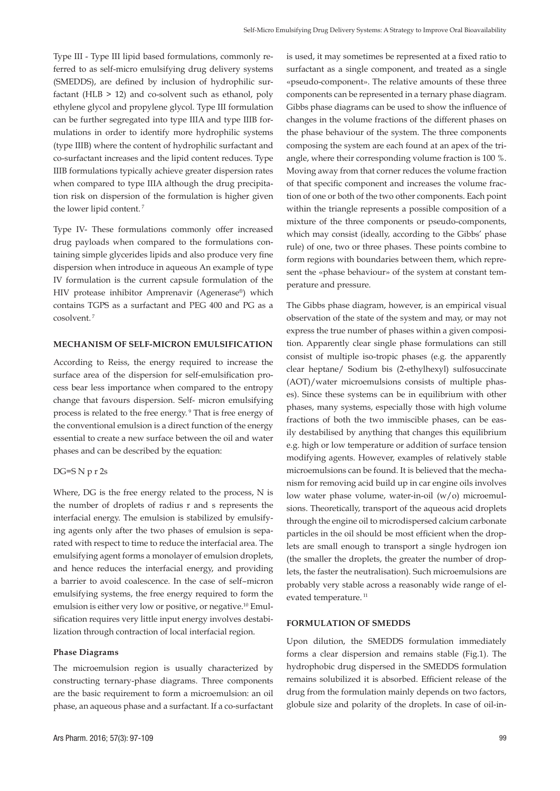Type III - Type III lipid based formulations, commonly referred to as self-micro emulsifying drug delivery systems (SMEDDS), are defined by inclusion of hydrophilic surfactant (HLB > 12) and co-solvent such as ethanol, poly ethylene glycol and propylene glycol. Type III formulation can be further segregated into type IIIA and type IIIB formulations in order to identify more hydrophilic systems (type IIIB) where the content of hydrophilic surfactant and co-surfactant increases and the lipid content reduces. Type IIIB formulations typically achieve greater dispersion rates when compared to type IIIA although the drug precipitation risk on dispersion of the formulation is higher given the lower lipid content.<sup>7</sup>

Type IV- These formulations commonly offer increased drug payloads when compared to the formulations containing simple glycerides lipids and also produce very fine dispersion when introduce in aqueous An example of type IV formulation is the current capsule formulation of the HIV protease inhibitor Amprenavir (Agenerase®) which contains TGPS as a surfactant and PEG 400 and PG as a cosolvent.<sup>7</sup>

#### **MECHANISM OF SELF-MICRON EMULSIFICATION**

According to Reiss, the energy required to increase the surface area of the dispersion for self-emulsification process bear less importance when compared to the entropy change that favours dispersion. Self- micron emulsifying process is related to the free energy.<sup>9</sup> That is free energy of the conventional emulsion is a direct function of the energy essential to create a new surface between the oil and water phases and can be described by the equation:

#### DG=S N p r 2s

Where, DG is the free energy related to the process, N is the number of droplets of radius r and s represents the interfacial energy. The emulsion is stabilized by emulsifying agents only after the two phases of emulsion is separated with respect to time to reduce the interfacial area. The emulsifying agent forms a monolayer of emulsion droplets, and hence reduces the interfacial energy, and providing a barrier to avoid coalescence. In the case of self-micron emulsifying systems, the free energy required to form the emulsion is either very low or positive, or negative.10 Emulsification requires very little input energy involves destabilization through contraction of local interfacial region.

#### **Phase Diagrams**

The microemulsion region is usually characterized by constructing ternary-phase diagrams. Three components are the basic requirement to form a microemulsion: an oil phase, an aqueous phase and a surfactant. If a co-surfactant is used, it may sometimes be represented at a fixed ratio to surfactant as a single component, and treated as a single «pseudo-component». The relative amounts of these three components can be represented in a ternary phase diagram. Gibbs phase diagrams can be used to show the influence of changes in the volume fractions of the different phases on the phase behaviour of the system. The three components composing the system are each found at an apex of the triangle, where their corresponding volume fraction is 100 %. Moving away from that corner reduces the volume fraction of that specific component and increases the volume fraction of one or both of the two other components. Each point within the triangle represents a possible composition of a mixture of the three components or pseudo-components, which may consist (ideally, according to the Gibbs' phase rule) of one, two or three phases. These points combine to form regions with boundaries between them, which represent the «phase behaviour» of the system at constant temperature and pressure.

The Gibbs phase diagram, however, is an empirical visual observation of the state of the system and may, or may not express the true number of phases within a given composition. Apparently clear single phase formulations can still consist of multiple iso-tropic phases (e.g. the apparently clear heptane/ Sodium bis (2-ethylhexyl) sulfosuccinate (AOT)/water microemulsions consists of multiple phases). Since these systems can be in equilibrium with other phases, many systems, especially those with high volume fractions of both the two immiscible phases, can be easily destabilised by anything that changes this equilibrium e.g. high or low temperature or addition of surface tension modifying agents. However, examples of relatively stable microemulsions can be found. It is believed that the mechanism for removing acid build up in car engine oils involves low water phase volume, water-in-oil (w/o) microemulsions. Theoretically, transport of the aqueous acid droplets through the engine oil to microdispersed calcium carbonate particles in the oil should be most efficient when the droplets are small enough to transport a single hydrogen ion (the smaller the droplets, the greater the number of droplets, the faster the neutralisation). Such microemulsions are probably very stable across a reasonably wide range of elevated temperature.<sup>11</sup>

#### **FORMULATION OF SMEDDS**

Upon dilution, the SMEDDS formulation immediately forms a clear dispersion and remains stable (Fig.1). The hydrophobic drug dispersed in the SMEDDS formulation remains solubilized it is absorbed. Efficient release of the drug from the formulation mainly depends on two factors, globule size and polarity of the droplets. In case of oil-in-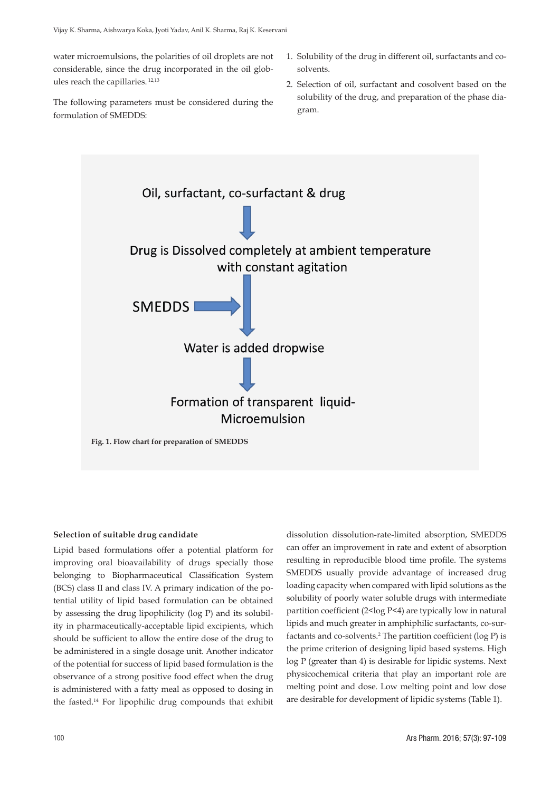water microemulsions, the polarities of oil droplets are not considerable, since the drug incorporated in the oil globules reach the capillaries. 12,13

The following parameters must be considered during the formulation of SMEDDS:

- 1. Solubility of the drug in different oil, surfactants and cosolvents.
- 2. Selection of oil, surfactant and cosolvent based on the solubility of the drug, and preparation of the phase diagram.



#### **Selection of suitable drug candidate**

Lipid based formulations offer a potential platform for improving oral bioavailability of drugs specially those belonging to Biopharmaceutical Classification System (BCS) class II and class IV. A primary indication of the potential utility of lipid based formulation can be obtained by assessing the drug lipophilicity (log P) and its solubility in pharmaceutically-acceptable lipid excipients, which should be sufficient to allow the entire dose of the drug to be administered in a single dosage unit. Another indicator of the potential for success of lipid based formulation is the observance of a strong positive food effect when the drug is administered with a fatty meal as opposed to dosing in the fasted.<sup>14</sup> For lipophilic drug compounds that exhibit dissolution dissolution-rate-limited absorption, SMEDDS can offer an improvement in rate and extent of absorption resulting in reproducible blood time profile. The systems SMEDDS usually provide advantage of increased drug loading capacity when compared with lipid solutions as the solubility of poorly water soluble drugs with intermediate partition coefficient (2<log P<4) are typically low in natural lipids and much greater in amphiphilic surfactants, co-surfactants and co-solvents.<sup>2</sup> The partition coefficient ( $log P$ ) is the prime criterion of designing lipid based systems. High log P (greater than 4) is desirable for lipidic systems. Next physicochemical criteria that play an important role are melting point and dose. Low melting point and low dose are desirable for development of lipidic systems (Table 1).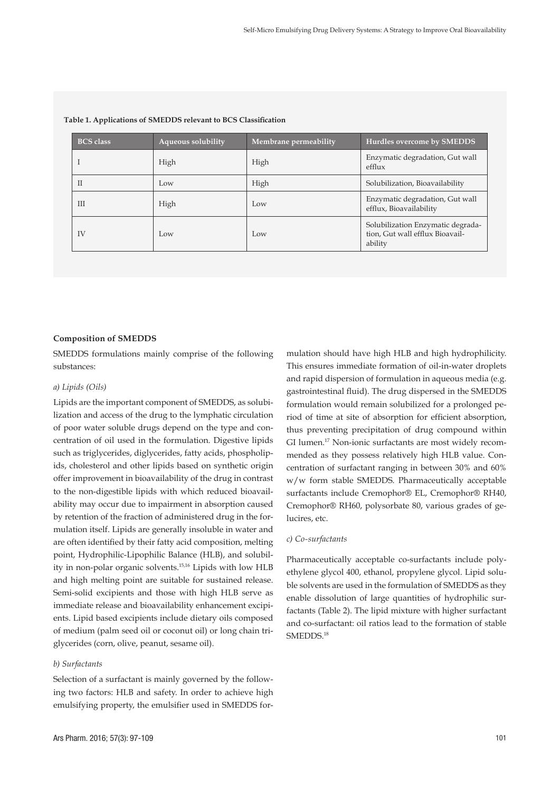| <b>BCS</b> class | <b>Aqueous solubility</b> | Membrane permeability | Hurdles overcome by SMEDDS                                                      |
|------------------|---------------------------|-----------------------|---------------------------------------------------------------------------------|
|                  | High                      | High                  | Enzymatic degradation, Gut wall<br>efflux                                       |
| $\mathbf{I}$     | Low                       | High                  | Solubilization, Bioavailability                                                 |
| Ш                | High                      | Low                   | Enzymatic degradation, Gut wall<br>efflux, Bioavailability                      |
| <b>IV</b>        | Low                       | Low                   | Solubilization Enzymatic degrada-<br>tion, Gut wall efflux Bioavail-<br>ability |

#### **Table 1. Applications of SMEDDS relevant to BCS Classification**

#### **Composition of SMEDDS**

SMEDDS formulations mainly comprise of the following substances:

#### *a) Lipids (Oils)*

Lipids are the important component of SMEDDS, as solubilization and access of the drug to the lymphatic circulation of poor water soluble drugs depend on the type and concentration of oil used in the formulation. Digestive lipids such as triglycerides, diglycerides, fatty acids, phospholipids, cholesterol and other lipids based on synthetic origin offer improvement in bioavailability of the drug in contrast to the non-digestible lipids with which reduced bioavailability may occur due to impairment in absorption caused by retention of the fraction of administered drug in the formulation itself. Lipids are generally insoluble in water and are often identified by their fatty acid composition, melting point, Hydrophilic-Lipophilic Balance (HLB), and solubility in non-polar organic solvents.15,16 Lipids with low HLB and high melting point are suitable for sustained release. Semi-solid excipients and those with high HLB serve as immediate release and bioavailability enhancement excipients. Lipid based excipients include dietary oils composed of medium (palm seed oil or coconut oil) or long chain triglycerides (corn, olive, peanut, sesame oil).

#### *b) Surfactants*

Selection of a surfactant is mainly governed by the following two factors: HLB and safety. In order to achieve high emulsifying property, the emulsifier used in SMEDDS for-

mulation should have high HLB and high hydrophilicity. This ensures immediate formation of oil-in-water droplets and rapid dispersion of formulation in aqueous media (e.g. gastrointestinal fluid). The drug dispersed in the SMEDDS formulation would remain solubilized for a prolonged period of time at site of absorption for efficient absorption, thus preventing precipitation of drug compound within GI lumen.17 Non-ionic surfactants are most widely recommended as they possess relatively high HLB value. Concentration of surfactant ranging in between 30% and 60% w/w form stable SMEDDS. Pharmaceutically acceptable surfactants include Cremophor® EL, Cremophor® RH40, Cremophor® RH60, polysorbate 80, various grades of gelucires, etc.

#### *c) Co-surfactants*

Pharmaceutically acceptable co-surfactants include polyethylene glycol 400, ethanol, propylene glycol. Lipid soluble solvents are used in the formulation of SMEDDS as they enable dissolution of large quantities of hydrophilic surfactants (Table 2). The lipid mixture with higher surfactant and co-surfactant: oil ratios lead to the formation of stable SMEDDS.18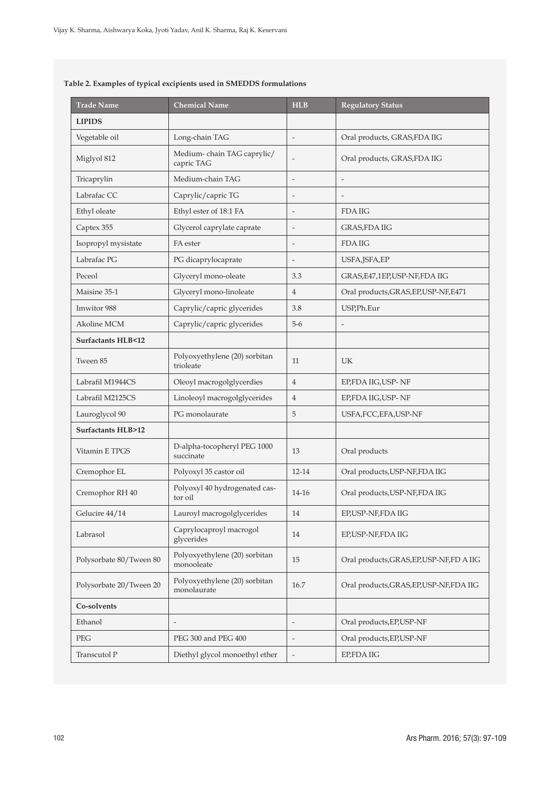| <b>Trade Name</b>            | <b>Chemical Name</b>                         | <b>HLB</b>                   | <b>Regulatory Status</b>                  |
|------------------------------|----------------------------------------------|------------------------------|-------------------------------------------|
| <b>LIPIDS</b>                |                                              |                              |                                           |
| Vegetable oil                | Long-chain TAG                               | $\qquad \qquad \blacksquare$ | Oral products, GRAS, FDA IIG              |
| Miglyol 812                  | Medium-chain TAG caprylic/<br>capric TAG     |                              | Oral products, GRAS, FDA IIG              |
| Tricaprylin                  | Medium-chain TAG                             | $\qquad \qquad -$            | $\overline{\phantom{a}}$                  |
| Labrafac CC                  | Caprylic/capric TG                           | $\overline{\phantom{a}}$     | $\overline{\phantom{a}}$                  |
| Ethyl oleate                 | Ethyl ester of 18:1 FA                       |                              | <b>FDA IIG</b>                            |
| Captex 355                   | Glycerol caprylate caprate                   | $\overline{a}$               | <b>GRAS, FDA IIG</b>                      |
| Isopropyl mysistate          | FA ester                                     | $\overline{a}$               | <b>FDAIIG</b>                             |
| Labrafac PG                  | PG dicaprylocaprate                          |                              | USFA, JSFA, EP                            |
| Peceol                       | Glyceryl mono-oleate                         | 3.3                          | GRAS, E47, 1EP, USP-NF, FDA IIG           |
| Maisine 35-1                 | Glyceryl mono-linoleate                      | $\overline{4}$               | Oral products, GRAS, EP, USP-NF, E471     |
| Imwitor 988                  | Caprylic/capric glycerides                   | 3.8                          | USP, Ph. Eur                              |
| Akoline MCM                  | Caprylic/capric glycerides                   | $5-6$                        | $\overline{\phantom{a}}$                  |
| Surfactants HLB<12           |                                              |                              |                                           |
| Tween 85                     | Polyoxyethylene (20) sorbitan<br>trioleate   | 11                           | <b>UK</b>                                 |
| Labrafil M1944CS             | Oleoyl macrogolglycerdies                    | $\overline{4}$               | EP,FDA IIG,USP-NF                         |
| Labrafil M2125CS             | Linoleoyl macrogolglycerides                 | $\overline{4}$               | EP,FDA IIG,USP-NF                         |
| Lauroglycol 90               | PG monolaurate                               | 5                            | USFA, FCC, EFA, USP-NF                    |
| <b>Surfactants HLB&gt;12</b> |                                              |                              |                                           |
| Vitamin E TPGS               | D-alpha-tocopheryl PEG 1000<br>succinate     | 13                           | Oral products                             |
| Cremophor EL                 | Polyoxyl 35 castor oil                       | $12 - 14$                    | Oral products, USP-NF, FDA IIG            |
| Cremophor RH 40              | Polyoxyl 40 hydrogenated cas-<br>tor oil     | 14-16                        | Oral products, USP-NF, FDA IIG            |
| Gelucire 44/14               | Lauroyl macrogolglycerides                   | 14                           | EP,USP-NF,FDA IIG                         |
| Labrasol                     | Caprylocaproyl macrogol<br>glycerides        | 14                           | EP,USP-NF,FDA IIG                         |
| Polysorbate 80/Tween 80      | Polyoxyethylene (20) sorbitan<br>monooleate  | 15                           | Oral products, GRAS, EP, USP-NF, FD A IIG |
| Polysorbate 20/Tween 20      | Polyoxyethylene (20) sorbitan<br>monolaurate | 16.7                         | Oral products, GRAS, EP, USP-NF, FDA IIG  |
| Co-solvents                  |                                              |                              |                                           |
| Ethanol                      | $\overline{\phantom{a}}$                     | $\overline{\phantom{m}}$     | Oral products, EP, USP-NF                 |
| PEG                          | PEG 300 and PEG 400                          | $\overline{a}$               | Oral products, EP, USP-NF                 |
| Transcutol P                 | Diethyl glycol monoethyl ether               | $\overline{\phantom{a}}$     | EP,FDA IIG                                |

# **Table 2. Examples of typical excipients used in SMEDDS formulations**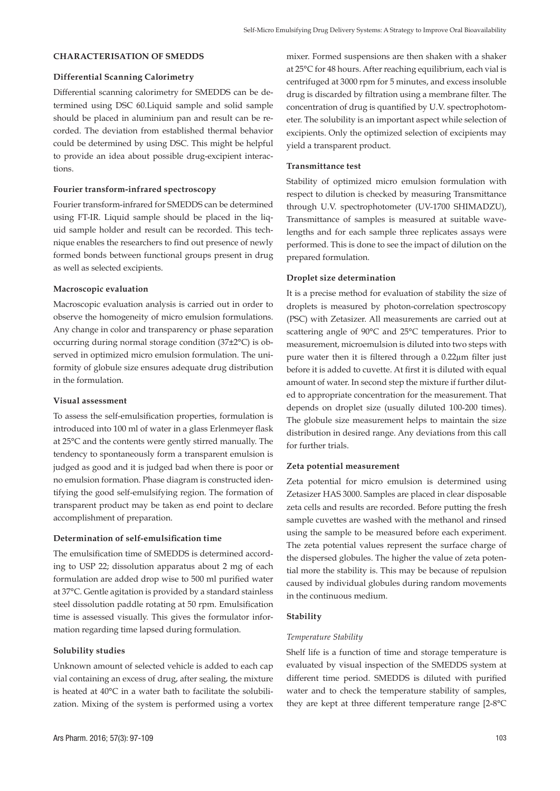## **CHARACTERISATION OF SMEDDS**

#### **Differential Scanning Calorimetry**

Differential scanning calorimetry for SMEDDS can be determined using DSC 60.Liquid sample and solid sample should be placed in aluminium pan and result can be recorded. The deviation from established thermal behavior could be determined by using DSC. This might be helpful to provide an idea about possible drug-excipient interactions.

#### **Fourier transform-infrared spectroscopy**

Fourier transform-infrared for SMEDDS can be determined using FT-IR. Liquid sample should be placed in the liquid sample holder and result can be recorded. This technique enables the researchers to find out presence of newly formed bonds between functional groups present in drug as well as selected excipients.

#### **Macroscopic evaluation**

Macroscopic evaluation analysis is carried out in order to observe the homogeneity of micro emulsion formulations. Any change in color and transparency or phase separation occurring during normal storage condition (37±2°C) is observed in optimized micro emulsion formulation. The uniformity of globule size ensures adequate drug distribution in the formulation.

#### **Visual assessment**

To assess the self-emulsification properties, formulation is introduced into 100 ml of water in a glass Erlenmeyer flask at 25°C and the contents were gently stirred manually. The tendency to spontaneously form a transparent emulsion is judged as good and it is judged bad when there is poor or no emulsion formation. Phase diagram is constructed identifying the good self-emulsifying region. The formation of transparent product may be taken as end point to declare accomplishment of preparation.

#### **Determination of self-emulsification time**

The emulsification time of SMEDDS is determined according to USP 22; dissolution apparatus about 2 mg of each formulation are added drop wise to 500 ml purified water at 37°C. Gentle agitation is provided by a standard stainless steel dissolution paddle rotating at 50 rpm. Emulsification time is assessed visually. This gives the formulator information regarding time lapsed during formulation.

#### **Solubility studies**

Unknown amount of selected vehicle is added to each cap vial containing an excess of drug, after sealing, the mixture is heated at 40°C in a water bath to facilitate the solubilization. Mixing of the system is performed using a vortex mixer. Formed suspensions are then shaken with a shaker at 25°C for 48 hours. After reaching equilibrium, each vial is centrifuged at 3000 rpm for 5 minutes, and excess insoluble drug is discarded by filtration using a membrane filter. The concentration of drug is quantified by U.V. spectrophotometer. The solubility is an important aspect while selection of excipients. Only the optimized selection of excipients may yield a transparent product.

#### **Transmittance test**

Stability of optimized micro emulsion formulation with respect to dilution is checked by measuring Transmittance through U.V. spectrophotometer (UV-1700 SHIMADZU), Transmittance of samples is measured at suitable wavelengths and for each sample three replicates assays were performed. This is done to see the impact of dilution on the prepared formulation.

#### **Droplet size determination**

It is a precise method for evaluation of stability the size of droplets is measured by photon-correlation spectroscopy (PSC) with Zetasizer. All measurements are carried out at scattering angle of 90°C and 25°C temperatures. Prior to measurement, microemulsion is diluted into two steps with pure water then it is filtered through a 0.22μm filter just before it is added to cuvette. At first it is diluted with equal amount of water. In second step the mixture if further diluted to appropriate concentration for the measurement. That depends on droplet size (usually diluted 100-200 times). The globule size measurement helps to maintain the size distribution in desired range. Any deviations from this call for further trials.

#### **Zeta potential measurement**

Zeta potential for micro emulsion is determined using Zetasizer HAS 3000. Samples are placed in clear disposable zeta cells and results are recorded. Before putting the fresh sample cuvettes are washed with the methanol and rinsed using the sample to be measured before each experiment. The zeta potential values represent the surface charge of the dispersed globules. The higher the value of zeta potential more the stability is. This may be because of repulsion caused by individual globules during random movements in the continuous medium.

#### **Stability**

#### *Temperature Stability*

Shelf life is a function of time and storage temperature is evaluated by visual inspection of the SMEDDS system at different time period. SMEDDS is diluted with purified water and to check the temperature stability of samples, they are kept at three different temperature range [2-8°C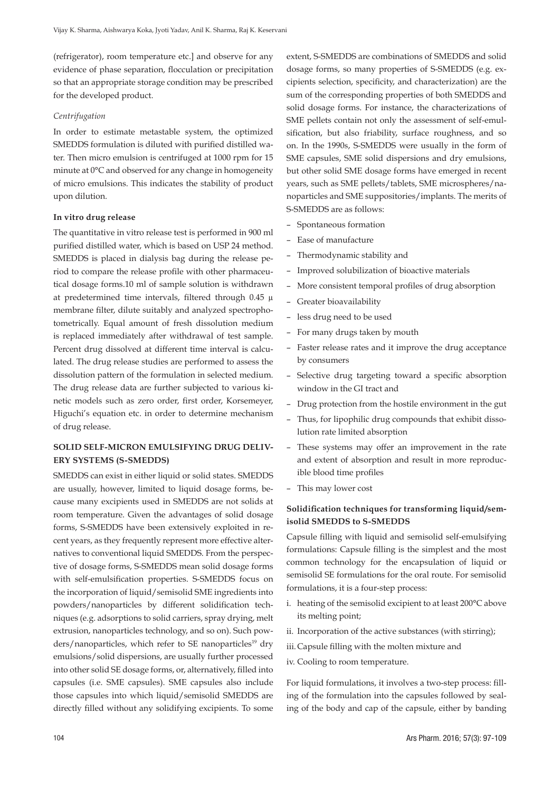(refrigerator), room temperature etc.] and observe for any evidence of phase separation, flocculation or precipitation so that an appropriate storage condition may be prescribed for the developed product.

#### *Centrifugation*

In order to estimate metastable system, the optimized SMEDDS formulation is diluted with purified distilled water. Then micro emulsion is centrifuged at 1000 rpm for 15 minute at 0°C and observed for any change in homogeneity of micro emulsions. This indicates the stability of product upon dilution.

# **In vitro drug release**

The quantitative in vitro release test is performed in 900 ml purified distilled water, which is based on USP 24 method. SMEDDS is placed in dialysis bag during the release period to compare the release profile with other pharmaceutical dosage forms.10 ml of sample solution is withdrawn at predetermined time intervals, filtered through 0.45 μ membrane filter, dilute suitably and analyzed spectrophotometrically. Equal amount of fresh dissolution medium is replaced immediately after withdrawal of test sample. Percent drug dissolved at different time interval is calculated. The drug release studies are performed to assess the dissolution pattern of the formulation in selected medium. The drug release data are further subjected to various kinetic models such as zero order, first order, Korsemeyer, Higuchi's equation etc. in order to determine mechanism of drug release.

# **SOLID SELF-MICRON EMULSIFYING DRUG DELIV-ERY SYSTEMS (S-SMEDDS)**

SMEDDS can exist in either liquid or solid states. SMEDDS are usually, however, limited to liquid dosage forms, because many excipients used in SMEDDS are not solids at room temperature. Given the advantages of solid dosage forms, S-SMEDDS have been extensively exploited in recent years, as they frequently represent more effective alternatives to conventional liquid SMEDDS. From the perspective of dosage forms, S-SMEDDS mean solid dosage forms with self-emulsification properties. S-SMEDDS focus on the incorporation of liquid/semisolid SME ingredients into powders/nanoparticles by different solidification techniques (e.g. adsorptions to solid carriers, spray drying, melt extrusion, nanoparticles technology, and so on). Such powders/nanoparticles, which refer to SE nanoparticles<sup>19</sup> dry emulsions/solid dispersions, are usually further processed into other solid SE dosage forms, or, alternatively, filled into capsules (i.e. SME capsules). SME capsules also include those capsules into which liquid/semisolid SMEDDS are directly filled without any solidifying excipients. To some extent, S-SMEDDS are combinations of SMEDDS and solid dosage forms, so many properties of S-SMEDDS (e.g. excipients selection, specificity, and characterization) are the sum of the corresponding properties of both SMEDDS and solid dosage forms. For instance, the characterizations of SME pellets contain not only the assessment of self-emulsification, but also friability, surface roughness, and so on. In the 1990s, S-SMEDDS were usually in the form of SME capsules, SME solid dispersions and dry emulsions, but other solid SME dosage forms have emerged in recent years, such as SME pellets/tablets, SME microspheres/nanoparticles and SME suppositories/implants. The merits of S-SMEDDS are as follows:

- Spontaneous formation
- Ease of manufacture
- Thermodynamic stability and
- Improved solubilization of bioactive materials
- More consistent temporal profiles of drug absorption
- Greater bioavailability
- less drug need to be used
- For many drugs taken by mouth
- Faster release rates and it improve the drug acceptance by consumers
- Selective drug targeting toward a specific absorption window in the GI tract and
- Drug protection from the hostile environment in the gut
- Thus, for lipophilic drug compounds that exhibit dissolution rate limited absorption
- These systems may offer an improvement in the rate and extent of absorption and result in more reproducible blood time profiles
- This may lower cost

# **Solidification techniques for transforming liquid/semisolid SMEDDS to S-SMEDDS**

Capsule filling with liquid and semisolid self-emulsifying formulations: Capsule filling is the simplest and the most common technology for the encapsulation of liquid or semisolid SE formulations for the oral route. For semisolid formulations, it is a four-step process:

- i. heating of the semisolid excipient to at least 200°C above its melting point;
- ii. Incorporation of the active substances (with stirring);
- iii.Capsule filling with the molten mixture and
- iv. Cooling to room temperature.

For liquid formulations, it involves a two-step process: filling of the formulation into the capsules followed by sealing of the body and cap of the capsule, either by banding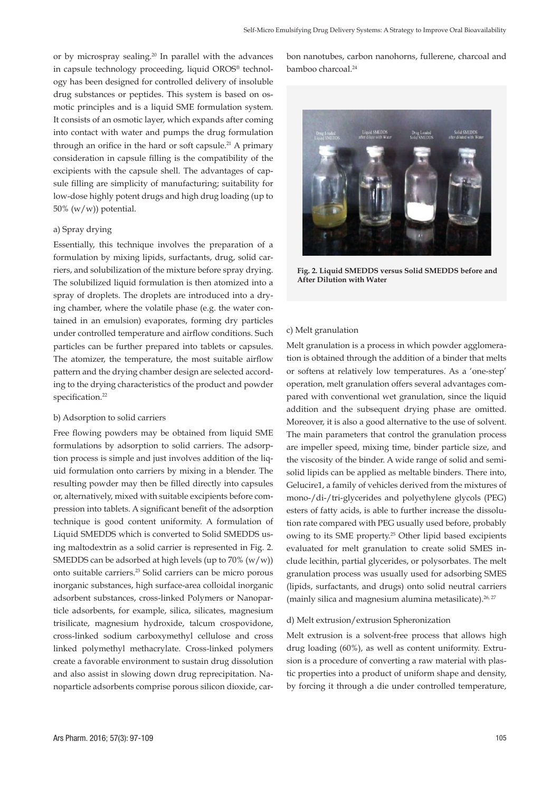or by microspray sealing.<sup>20</sup> In parallel with the advances in capsule technology proceeding, liquid OROS® technology has been designed for controlled delivery of insoluble drug substances or peptides. This system is based on osmotic principles and is a liquid SME formulation system. It consists of an osmotic layer, which expands after coming into contact with water and pumps the drug formulation through an orifice in the hard or soft capsule.<sup>21</sup> A primary consideration in capsule filling is the compatibility of the excipients with the capsule shell. The advantages of capsule filling are simplicity of manufacturing; suitability for low-dose highly potent drugs and high drug loading (up to 50%  $(w/w)$  potential.

### a) Spray drying

Essentially, this technique involves the preparation of a formulation by mixing lipids, surfactants, drug, solid carriers, and solubilization of the mixture before spray drying. The solubilized liquid formulation is then atomized into a spray of droplets. The droplets are introduced into a drying chamber, where the volatile phase (e.g. the water contained in an emulsion) evaporates, forming dry particles under controlled temperature and airflow conditions. Such particles can be further prepared into tablets or capsules. The atomizer, the temperature, the most suitable airflow pattern and the drying chamber design are selected according to the drying characteristics of the product and powder specification.<sup>22</sup>

#### b) Adsorption to solid carriers

Free flowing powders may be obtained from liquid SME formulations by adsorption to solid carriers. The adsorption process is simple and just involves addition of the liquid formulation onto carriers by mixing in a blender. The resulting powder may then be filled directly into capsules or, alternatively, mixed with suitable excipients before compression into tablets. A significant benefit of the adsorption technique is good content uniformity. A formulation of Liquid SMEDDS which is converted to Solid SMEDDS using maltodextrin as a solid carrier is represented in Fig. 2. SMEDDS can be adsorbed at high levels (up to  $70\%$  (w/w)) onto suitable carriers.<sup>23</sup> Solid carriers can be micro porous inorganic substances, high surface-area colloidal inorganic adsorbent substances, cross-linked Polymers or Nanoparticle adsorbents, for example, silica, silicates, magnesium trisilicate, magnesium hydroxide, talcum crospovidone, cross-linked sodium carboxymethyl cellulose and cross linked polymethyl methacrylate. Cross-linked polymers create a favorable environment to sustain drug dissolution and also assist in slowing down drug reprecipitation. Nanoparticle adsorbents comprise porous silicon dioxide, carbon nanotubes, carbon nanohorns, fullerene, charcoal and bamboo charcoal.<sup>24</sup>



**Fig. 2. Liquid SMEDDS versus Solid SMEDDS before and After Dilution with Water**

#### c) Melt granulation

Melt granulation is a process in which powder agglomeration is obtained through the addition of a binder that melts or softens at relatively low temperatures. As a 'one-step' operation, melt granulation offers several advantages compared with conventional wet granulation, since the liquid addition and the subsequent drying phase are omitted. Moreover, it is also a good alternative to the use of solvent. The main parameters that control the granulation process are impeller speed, mixing time, binder particle size, and the viscosity of the binder. A wide range of solid and semisolid lipids can be applied as meltable binders. There into, Gelucire1, a family of vehicles derived from the mixtures of mono-/di-/tri-glycerides and polyethylene glycols (PEG) esters of fatty acids, is able to further increase the dissolution rate compared with PEG usually used before, probably owing to its SME property.<sup>25</sup> Other lipid based excipients evaluated for melt granulation to create solid SMES include lecithin, partial glycerides, or polysorbates. The melt granulation process was usually used for adsorbing SMES (lipids, surfactants, and drugs) onto solid neutral carriers (mainly silica and magnesium alumina metasilicate).<sup>26, 27</sup>

#### d) Melt extrusion/extrusion Spheronization

Melt extrusion is a solvent-free process that allows high drug loading (60%), as well as content uniformity. Extrusion is a procedure of converting a raw material with plastic properties into a product of uniform shape and density, by forcing it through a die under controlled temperature,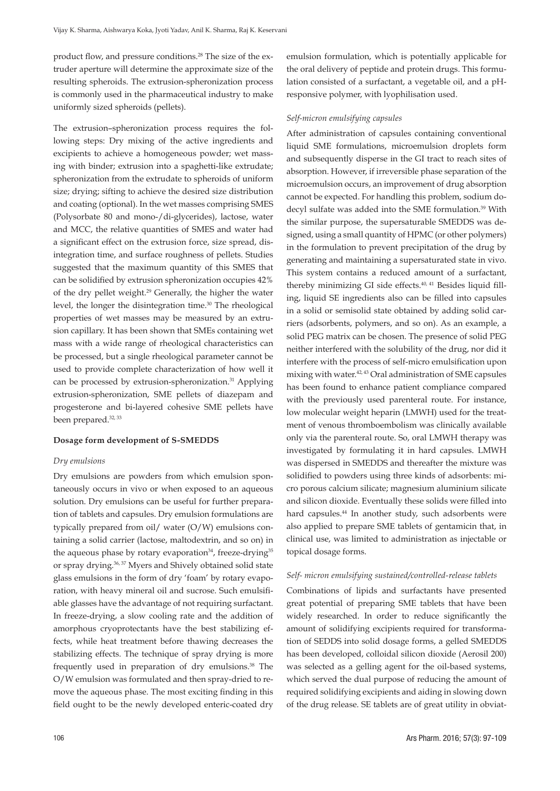product flow, and pressure conditions.<sup>28</sup> The size of the extruder aperture will determine the approximate size of the resulting spheroids. The extrusion-spheronization process is commonly used in the pharmaceutical industry to make uniformly sized spheroids (pellets).

The extrusion–spheronization process requires the following steps: Dry mixing of the active ingredients and excipients to achieve a homogeneous powder; wet massing with binder; extrusion into a spaghetti-like extrudate; spheronization from the extrudate to spheroids of uniform size; drying; sifting to achieve the desired size distribution and coating (optional). In the wet masses comprising SMES (Polysorbate 80 and mono-/di-glycerides), lactose, water and MCC, the relative quantities of SMES and water had a significant effect on the extrusion force, size spread, disintegration time, and surface roughness of pellets. Studies suggested that the maximum quantity of this SMES that can be solidified by extrusion spheronization occupies 42% of the dry pellet weight.<sup>29</sup> Generally, the higher the water level, the longer the disintegration time.<sup>30</sup> The rheological properties of wet masses may be measured by an extrusion capillary. It has been shown that SMEs containing wet mass with a wide range of rheological characteristics can be processed, but a single rheological parameter cannot be used to provide complete characterization of how well it can be processed by extrusion-spheronization.<sup>31</sup> Applying extrusion-spheronization, SME pellets of diazepam and progesterone and bi-layered cohesive SME pellets have been prepared.<sup>32, 33</sup>

#### **Dosage form development of S-SMEDDS**

#### *Dry emulsions*

Dry emulsions are powders from which emulsion spontaneously occurs in vivo or when exposed to an aqueous solution. Dry emulsions can be useful for further preparation of tablets and capsules. Dry emulsion formulations are typically prepared from oil/ water (O/W) emulsions containing a solid carrier (lactose, maltodextrin, and so on) in the aqueous phase by rotary evaporation<sup>34</sup>, freeze-drying<sup>35</sup> or spray drying.36, 37 Myers and Shively obtained solid state glass emulsions in the form of dry 'foam' by rotary evaporation, with heavy mineral oil and sucrose. Such emulsifiable glasses have the advantage of not requiring surfactant. In freeze-drying, a slow cooling rate and the addition of amorphous cryoprotectants have the best stabilizing effects, while heat treatment before thawing decreases the stabilizing effects. The technique of spray drying is more frequently used in preparation of dry emulsions.<sup>38</sup> The O/W emulsion was formulated and then spray-dried to remove the aqueous phase. The most exciting finding in this field ought to be the newly developed enteric-coated dry emulsion formulation, which is potentially applicable for the oral delivery of peptide and protein drugs. This formulation consisted of a surfactant, a vegetable oil, and a pHresponsive polymer, with lyophilisation used.

#### *Self-micron emulsifying capsules*

After administration of capsules containing conventional liquid SME formulations, microemulsion droplets form and subsequently disperse in the GI tract to reach sites of absorption. However, if irreversible phase separation of the microemulsion occurs, an improvement of drug absorption cannot be expected. For handling this problem, sodium dodecyl sulfate was added into the SME formulation.<sup>39</sup> With the similar purpose, the supersaturable SMEDDS was designed, using a small quantity of HPMC (or other polymers) in the formulation to prevent precipitation of the drug by generating and maintaining a supersaturated state in vivo. This system contains a reduced amount of a surfactant, thereby minimizing GI side effects.<sup>40, 41</sup> Besides liquid filling, liquid SE ingredients also can be filled into capsules in a solid or semisolid state obtained by adding solid carriers (adsorbents, polymers, and so on). As an example, a solid PEG matrix can be chosen. The presence of solid PEG neither interfered with the solubility of the drug, nor did it interfere with the process of self-micro emulsification upon mixing with water.42, 43 Oral administration of SME capsules has been found to enhance patient compliance compared with the previously used parenteral route. For instance, low molecular weight heparin (LMWH) used for the treatment of venous thromboembolism was clinically available only via the parenteral route. So, oral LMWH therapy was investigated by formulating it in hard capsules. LMWH was dispersed in SMEDDS and thereafter the mixture was solidified to powders using three kinds of adsorbents: micro porous calcium silicate; magnesium aluminium silicate and silicon dioxide. Eventually these solids were filled into hard capsules.<sup>44</sup> In another study, such adsorbents were also applied to prepare SME tablets of gentamicin that, in clinical use, was limited to administration as injectable or topical dosage forms.

#### *Self- micron emulsifying sustained/controlled-release tablets*

Combinations of lipids and surfactants have presented great potential of preparing SME tablets that have been widely researched. In order to reduce significantly the amount of solidifying excipients required for transformation of SEDDS into solid dosage forms, a gelled SMEDDS has been developed, colloidal silicon dioxide (Aerosil 200) was selected as a gelling agent for the oil-based systems, which served the dual purpose of reducing the amount of required solidifying excipients and aiding in slowing down of the drug release. SE tablets are of great utility in obviat-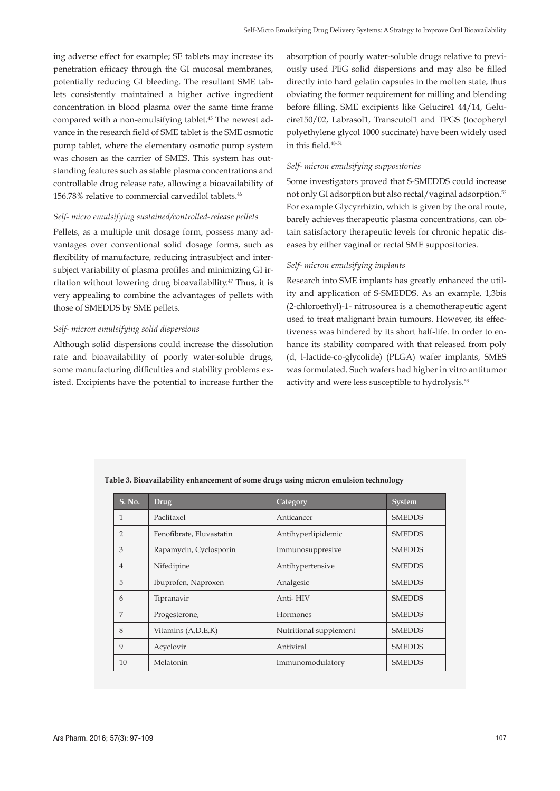ing adverse effect for example; SE tablets may increase its penetration efficacy through the GI mucosal membranes, potentially reducing GI bleeding. The resultant SME tablets consistently maintained a higher active ingredient concentration in blood plasma over the same time frame compared with a non-emulsifying tablet.45 The newest advance in the research field of SME tablet is the SME osmotic pump tablet, where the elementary osmotic pump system was chosen as the carrier of SMES. This system has outstanding features such as stable plasma concentrations and controllable drug release rate, allowing a bioavailability of 156.78% relative to commercial carvedilol tablets.<sup>46</sup>

#### *Self- micro emulsifying sustained/controlled-release pellets*

Pellets, as a multiple unit dosage form, possess many advantages over conventional solid dosage forms, such as flexibility of manufacture, reducing intrasubject and intersubject variability of plasma profiles and minimizing GI irritation without lowering drug bioavailability.<sup>47</sup> Thus, it is very appealing to combine the advantages of pellets with those of SMEDDS by SME pellets.

#### *Self- micron emulsifying solid dispersions*

Although solid dispersions could increase the dissolution rate and bioavailability of poorly water-soluble drugs, some manufacturing difficulties and stability problems existed. Excipients have the potential to increase further the absorption of poorly water-soluble drugs relative to previously used PEG solid dispersions and may also be filled directly into hard gelatin capsules in the molten state, thus obviating the former requirement for milling and blending before filling. SME excipients like Gelucire1 44/14, Gelucire150/02, Labrasol1, Transcutol1 and TPGS (tocopheryl polyethylene glycol 1000 succinate) have been widely used in this field.48-51

#### *Self- micron emulsifying suppositories*

Some investigators proved that S-SMEDDS could increase not only GI adsorption but also rectal/vaginal adsorption.<sup>52</sup> For example Glycyrrhizin, which is given by the oral route, barely achieves therapeutic plasma concentrations, can obtain satisfactory therapeutic levels for chronic hepatic diseases by either vaginal or rectal SME suppositories.

#### *Self- micron emulsifying implants*

Research into SME implants has greatly enhanced the utility and application of S-SMEDDS. As an example, 1,3bis (2-chloroethyl)-1- nitrosourea is a chemotherapeutic agent used to treat malignant brain tumours. However, its effectiveness was hindered by its short half-life. In order to enhance its stability compared with that released from poly (d, l-lactide-co-glycolide) (PLGA) wafer implants, SMES was formulated. Such wafers had higher in vitro antitumor activity and were less susceptible to hydrolysis.<sup>53</sup>

| S. No.         | Drug                     | Category               | System        |
|----------------|--------------------------|------------------------|---------------|
| 1              | Paclitaxel               | Anticancer             | <b>SMEDDS</b> |
| $\overline{2}$ | Fenofibrate, Fluvastatin | Antihyperlipidemic     | <b>SMEDDS</b> |
| 3              | Rapamycin, Cyclosporin   | Immunosuppresive       | <b>SMEDDS</b> |
| $\overline{4}$ | Nifedipine               | Antihypertensive       | <b>SMEDDS</b> |
| 5              | Ibuprofen, Naproxen      | Analgesic              | <b>SMEDDS</b> |
| 6              | Tipranavir               | Anti-HIV               | <b>SMEDDS</b> |
| 7              | Progesterone,            | Hormones               | <b>SMEDDS</b> |
| 8              | Vitamins (A,D,E,K)       | Nutritional supplement | <b>SMEDDS</b> |
| 9              | Acyclovir                | Antiviral              | <b>SMEDDS</b> |
| 10             | Melatonin                | Immunomodulatory       | <b>SMEDDS</b> |

**Table 3. Bioavailability enhancement of some drugs using micron emulsion technology**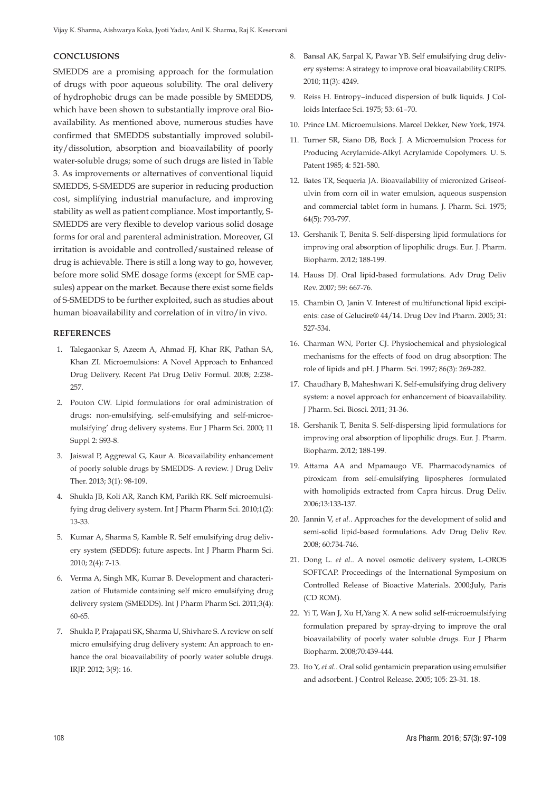# **CONCLUSIONS**

SMEDDS are a promising approach for the formulation of drugs with poor aqueous solubility. The oral delivery of hydrophobic drugs can be made possible by SMEDDS, which have been shown to substantially improve oral Bioavailability. As mentioned above, numerous studies have confirmed that SMEDDS substantially improved solubility/dissolution, absorption and bioavailability of poorly water-soluble drugs; some of such drugs are listed in Table 3. As improvements or alternatives of conventional liquid SMEDDS, S-SMEDDS are superior in reducing production cost, simplifying industrial manufacture, and improving stability as well as patient compliance. Most importantly, S-SMEDDS are very flexible to develop various solid dosage forms for oral and parenteral administration. Moreover, GI irritation is avoidable and controlled/sustained release of drug is achievable. There is still a long way to go, however, before more solid SME dosage forms (except for SME capsules) appear on the market. Because there exist some fields of S-SMEDDS to be further exploited, such as studies about human bioavailability and correlation of in vitro/in vivo.

#### **REFERENCES**

- 1. Talegaonkar S, Azeem A, Ahmad FJ, Khar RK, Pathan SA, Khan ZI. Microemulsions: A Novel Approach to Enhanced Drug Delivery. Recent Pat Drug Deliv Formul. 2008; 2:238- 257.
- 2. Pouton CW. Lipid formulations for oral administration of drugs: non-emulsifying, self-emulsifying and self-microemulsifying' drug delivery systems. Eur J Pharm Sci. 2000; 11 Suppl 2: S93-8.
- 3. Jaiswal P, Aggrewal G, Kaur A. Bioavailability enhancement of poorly soluble drugs by SMEDDS- A review. J Drug Deliv Ther. 2013; 3(1): 98-109.
- 4. Shukla JB, Koli AR, Ranch KM, Parikh RK. Self microemulsifying drug delivery system. Int J Pharm Pharm Sci. 2010;1(2): 13-33.
- 5. Kumar A, Sharma S, Kamble R. Self emulsifying drug delivery system (SEDDS): future aspects. Int J Pharm Pharm Sci. 2010; 2(4): 7-13.
- 6. Verma A, Singh MK, Kumar B. Development and characterization of Flutamide containing self micro emulsifying drug delivery system (SMEDDS). Int J Pharm Pharm Sci. 2011;3(4): 60-65.
- 7. Shukla P, Prajapati SK, Sharma U, Shivhare S. A review on self micro emulsifying drug delivery system: An approach to enhance the oral bioavailability of poorly water soluble drugs. IRJP. 2012; 3(9): 16.
- 8. Bansal AK, Sarpal K, Pawar YB. Self emulsifying drug delivery systems: A strategy to improve oral bioavailability.CRIPS. 2010; 11(3): 4249.
- 9. Reiss H. Entropy-induced dispersion of bulk liquids. J Colloids Interface Sci. 1975; 53: 61-70.
- 10. Prince LM. Microemulsions. Marcel Dekker, New York, 1974.
- 11. Turner SR, Siano DB, Bock J. A Microemulsion Process for Producing Acrylamide-Alkyl Acrylamide Copolymers. U. S. Patent 1985; 4: 521-580.
- 12. Bates TR, Sequeria JA. Bioavailability of micronized Griseofulvin from corn oil in water emulsion, aqueous suspension and commercial tablet form in humans. J. Pharm. Sci. 1975; 64(5): 793-797.
- 13. Gershanik T, Benita S. Self-dispersing lipid formulations for improving oral absorption of lipophilic drugs. Eur. J. Pharm. Biopharm. 2012; 188-199.
- 14. Hauss DJ. Oral lipid-based formulations. Adv Drug Deliv Rev. 2007; 59: 667-76.
- 15. Chambin O, Janin V. Interest of multifunctional lipid excipients: case of Gelucire® 44/14. Drug Dev Ind Pharm. 2005; 31: 527-534.
- 16. Charman WN, Porter CJ. Physiochemical and physiological mechanisms for the effects of food on drug absorption: The role of lipids and pH. J Pharm. Sci. 1997; 86(3): 269-282.
- 17. Chaudhary B, Maheshwari K. Self-emulsifying drug delivery system: a novel approach for enhancement of bioavailability. J Pharm. Sci. Biosci. 2011; 31-36.
- 18. Gershanik T, Benita S. Self-dispersing lipid formulations for improving oral absorption of lipophilic drugs. Eur. J. Pharm. Biopharm. 2012; 188-199.
- 19. Attama AA and Mpamaugo VE. Pharmacodynamics of piroxicam from self-emulsifying lipospheres formulated with homolipids extracted from Capra hircus. Drug Deliv. 2006;13:133-137.
- 20. Jannin V, *et al.*. Approaches for the development of solid and semi-solid lipid-based formulations. Adv Drug Deliv Rev. 2008; 60:734-746.
- 21. Dong L. *et al.*. A novel osmotic delivery system, L-OROS SOFTCAP. Proceedings of the International Symposium on Controlled Release of Bioactive Materials. 2000;July, Paris (CD ROM).
- 22. Yi T, Wan J, Xu H,Yang X. A new solid self-microemulsifying formulation prepared by spray-drying to improve the oral bioavailability of poorly water soluble drugs. Eur J Pharm Biopharm. 2008;70:439-444.
- 23. Ito Y, *et al.*. Oral solid gentamicin preparation using emulsifier and adsorbent. J Control Release. 2005; 105: 23-31. 18.